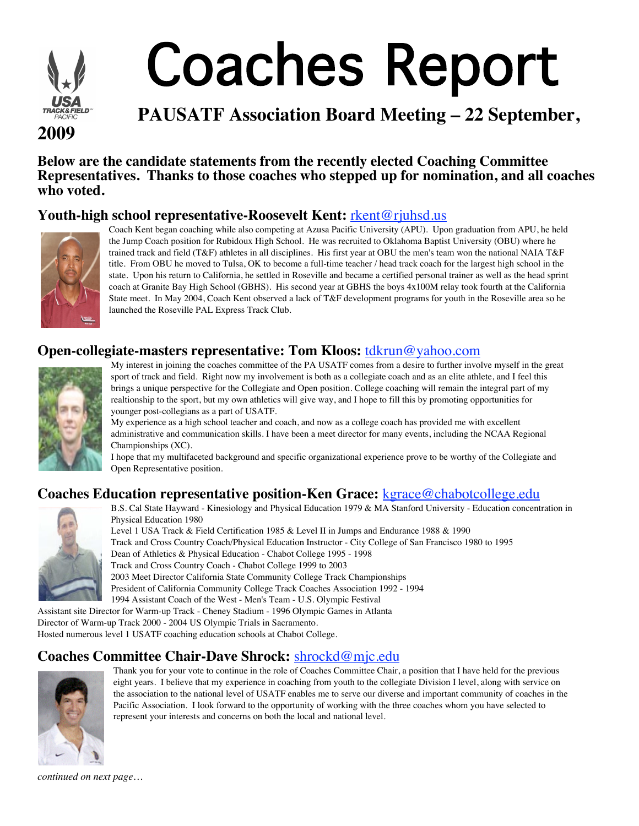

# Coaches Report

## **PAUSATF Association Board Meeting – 22 September,**

**Below are the candidate statements from the recently elected Coaching Committee Representatives. Thanks to those coaches who stepped up for nomination, and all coaches who voted.**

## **Youth-high school representative-Roosevelt Kent:** rkent@rjuhsd.us



Coach Kent began coaching while also competing at Azusa Pacific University (APU). Upon graduation from APU, he held the Jump Coach position for Rubidoux High School. He was recruited to Oklahoma Baptist University (OBU) where he trained track and field (T&F) athletes in all disciplines. His first year at OBU the men's team won the national NAIA T&F title. From OBU he moved to Tulsa, OK to become a full-time teacher / head track coach for the largest high school in the state. Upon his return to California, he settled in Roseville and became a certified personal trainer as well as the head sprint coach at Granite Bay High School (GBHS). His second year at GBHS the boys 4x100M relay took fourth at the California State meet. In May 2004, Coach Kent observed a lack of T&F development programs for youth in the Roseville area so he launched the Roseville PAL Express Track Club.

## **Open-collegiate-masters representative: Tom Kloos:** tdkrun@yahoo.com



My interest in joining the coaches committee of the PA USATF comes from a desire to further involve myself in the great sport of track and field. Right now my involvement is both as a collegiate coach and as an elite athlete, and I feel this brings a unique perspective for the Collegiate and Open position. College coaching will remain the integral part of my realtionship to the sport, but my own athletics will give way, and I hope to fill this by promoting opportunities for younger post-collegians as a part of USATF.

My experience as a high school teacher and coach, and now as a college coach has provided me with excellent administrative and communication skills. I have been a meet director for many events, including the NCAA Regional Championships (XC).

I hope that my multifaceted background and specific organizational experience prove to be worthy of the Collegiate and Open Representative position.

## **Coaches Education representative position-Ken Grace:** kgrace@chabotcollege.edu



B.S. Cal State Hayward - Kinesiology and Physical Education 1979 & MA Stanford University - Education concentration in Physical Education 1980

Level 1 USA Track & Field Certification 1985 & Level II in Jumps and Endurance 1988 & 1990 Track and Cross Country Coach/Physical Education Instructor - City College of San Francisco 1980 to 1995 Dean of Athletics & Physical Education - Chabot College 1995 - 1998 Track and Cross Country Coach - Chabot College 1999 to 2003 2003 Meet Director California State Community College Track Championships President of California Community College Track Coaches Association 1992 - 1994 1994 Assistant Coach of the West - Men's Team - U.S. Olympic Festival

Assistant site Director for Warm-up Track - Cheney Stadium - 1996 Olympic Games in Atlanta Director of Warm-up Track 2000 - 2004 US Olympic Trials in Sacramento. Hosted numerous level 1 USATF coaching education schools at Chabot College.

## **Coaches Committee Chair-Dave Shrock:** shrockd@mjc.edu



Thank you for your vote to continue in the role of Coaches Committee Chair, a position that I have held for the previous eight years. I believe that my experience in coaching from youth to the collegiate Division I level, along with service on the association to the national level of USATF enables me to serve our diverse and important community of coaches in the Pacific Association. I look forward to the opportunity of working with the three coaches whom you have selected to represent your interests and concerns on both the local and national level.

*continued on next page…*